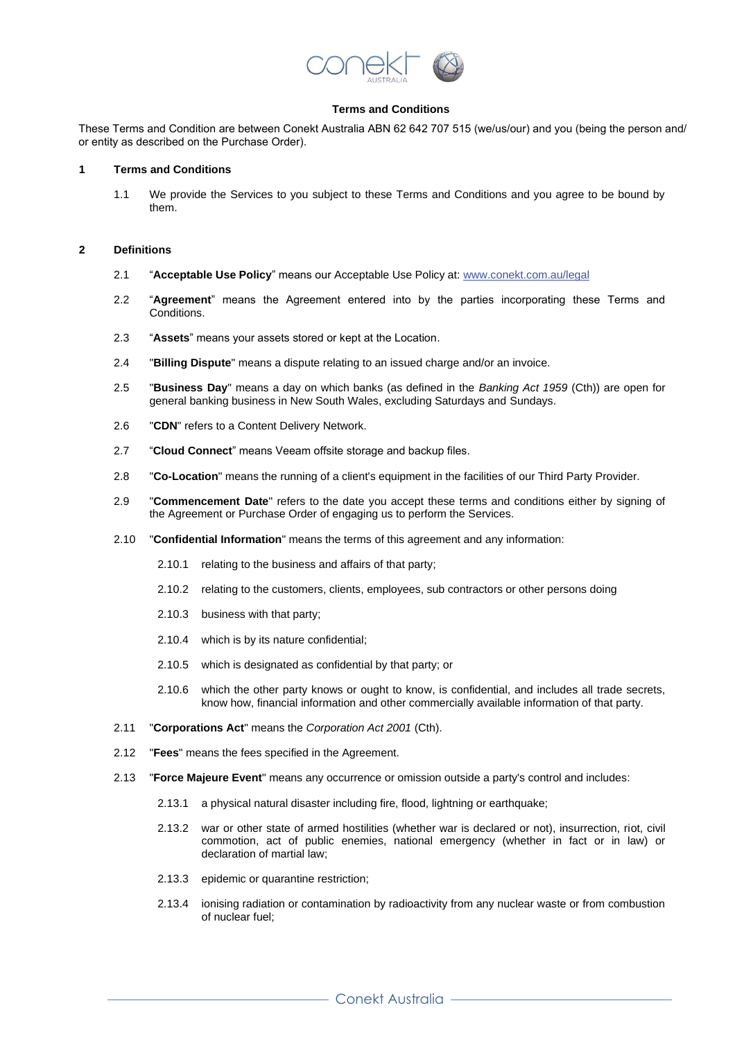

# **Terms and Conditions**

These Terms and Condition are between Conekt Australia ABN 62 642 707 515 (we/us/our) and you (being the person and/ or entity as described on the Purchase Order).

#### **1 Terms and Conditions**

1.1 We provide the Services to you subject to these Terms and Conditions and you agree to be bound by them.

### **2 Definitions**

- 2.1 "**Acceptable Use Policy**" means our Acceptable Use Policy at: [www.conekt.com.au/legal](http://www.conekt.com.au/legal)
- 2.2 "**Agreement**" means the Agreement entered into by the parties incorporating these Terms and Conditions.
- 2.3 "**Assets**" means your assets stored or kept at the Location.
- 2.4 "**Billing Dispute**" means a dispute relating to an issued charge and/or an invoice.
- 2.5 "**Business Day**" means a day on which banks (as defined in the *Banking Act 1959* (Cth)) are open for general banking business in New South Wales, excluding Saturdays and Sundays.
- 2.6 "**CDN**" refers to a Content Delivery Network.
- 2.7 "**Cloud Connect**" means Veeam offsite storage and backup files.
- 2.8 "**Co-Location**" means the running of a client's equipment in the facilities of our Third Party Provider.
- 2.9 "**Commencement Date**" refers to the date you accept these terms and conditions either by signing of the Agreement or Purchase Order of engaging us to perform the Services.
- 2.10 "**Confidential Information**" means the terms of this agreement and any information:
	- 2.10.1 relating to the business and affairs of that party;
	- 2.10.2 relating to the customers, clients, employees, sub contractors or other persons doing
	- 2.10.3 business with that party;
	- 2.10.4 which is by its nature confidential;
	- 2.10.5 which is designated as confidential by that party; or
	- 2.10.6 which the other party knows or ought to know, is confidential, and includes all trade secrets, know how, financial information and other commercially available information of that party.
- 2.11 "**Corporations Act**" means the *Corporation Act 2001* (Cth).
- 2.12 "**Fees**" means the fees specified in the Agreement.
- 2.13 "**Force Majeure Event**" means any occurrence or omission outside a party's control and includes:
	- 2.13.1 a physical natural disaster including fire, flood, lightning or earthquake;
	- 2.13.2 war or other state of armed hostilities (whether war is declared or not), insurrection, riot, civil commotion, act of public enemies, national emergency (whether in fact or in law) or declaration of martial law;
	- 2.13.3 epidemic or quarantine restriction;
	- 2.13.4 ionising radiation or contamination by radioactivity from any nuclear waste or from combustion of nuclear fuel;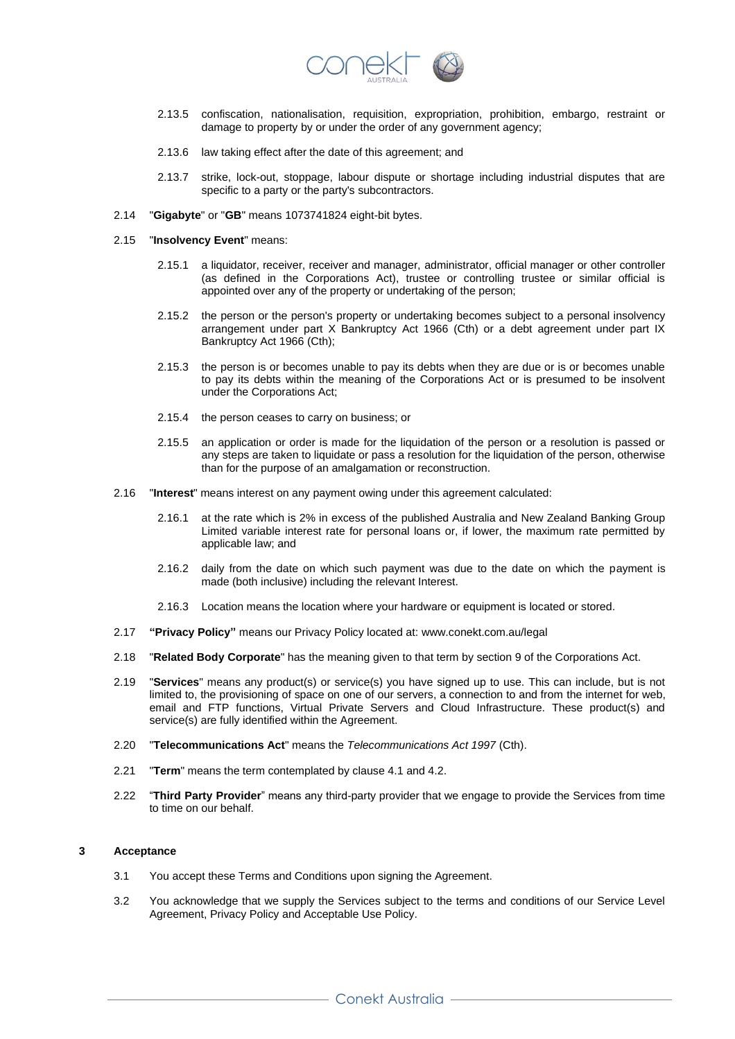

- 2.13.5 confiscation, nationalisation, requisition, expropriation, prohibition, embargo, restraint or damage to property by or under the order of any government agency;
- 2.13.6 law taking effect after the date of this agreement; and
- 2.13.7 strike, lock-out, stoppage, labour dispute or shortage including industrial disputes that are specific to a party or the party's subcontractors.
- 2.14 "**Gigabyte**" or "**GB**" means 1073741824 eight-bit bytes.
- 2.15 "**Insolvency Event**" means:
	- 2.15.1 a liquidator, receiver, receiver and manager, administrator, official manager or other controller (as defined in the Corporations Act), trustee or controlling trustee or similar official is appointed over any of the property or undertaking of the person;
	- 2.15.2 the person or the person's property or undertaking becomes subject to a personal insolvency arrangement under part X Bankruptcy Act 1966 (Cth) or a debt agreement under part IX Bankruptcy Act 1966 (Cth);
	- 2.15.3 the person is or becomes unable to pay its debts when they are due or is or becomes unable to pay its debts within the meaning of the Corporations Act or is presumed to be insolvent under the Corporations Act;
	- 2.15.4 the person ceases to carry on business; or
	- 2.15.5 an application or order is made for the liquidation of the person or a resolution is passed or any steps are taken to liquidate or pass a resolution for the liquidation of the person, otherwise than for the purpose of an amalgamation or reconstruction.
- 2.16 "**Interest**" means interest on any payment owing under this agreement calculated:
	- 2.16.1 at the rate which is 2% in excess of the published Australia and New Zealand Banking Group Limited variable interest rate for personal loans or, if lower, the maximum rate permitted by applicable law; and
	- 2.16.2 daily from the date on which such payment was due to the date on which the payment is made (both inclusive) including the relevant Interest.
	- 2.16.3 Location means the location where your hardware or equipment is located or stored.
- 2.17 **"Privacy Policy"** means our Privacy Policy located at: www.conekt.com.au/legal
- 2.18 "**Related Body Corporate**" has the meaning given to that term by section 9 of the Corporations Act.
- 2.19 "**Services**" means any product(s) or service(s) you have signed up to use. This can include, but is not limited to, the provisioning of space on one of our servers, a connection to and from the internet for web, email and FTP functions, Virtual Private Servers and Cloud Infrastructure. These product(s) and service(s) are fully identified within the Agreement.
- 2.20 "**Telecommunications Act**" means the *Telecommunications Act 1997* (Cth).
- 2.21 "**Term**" means the term contemplated by clause 4.1 and 4.2.
- 2.22 "**Third Party Provider**" means any third-party provider that we engage to provide the Services from time to time on our behalf.

## **3 Acceptance**

- 3.1 You accept these Terms and Conditions upon signing the Agreement.
- 3.2 You acknowledge that we supply the Services subject to the terms and conditions of our Service Level Agreement, Privacy Policy and Acceptable Use Policy.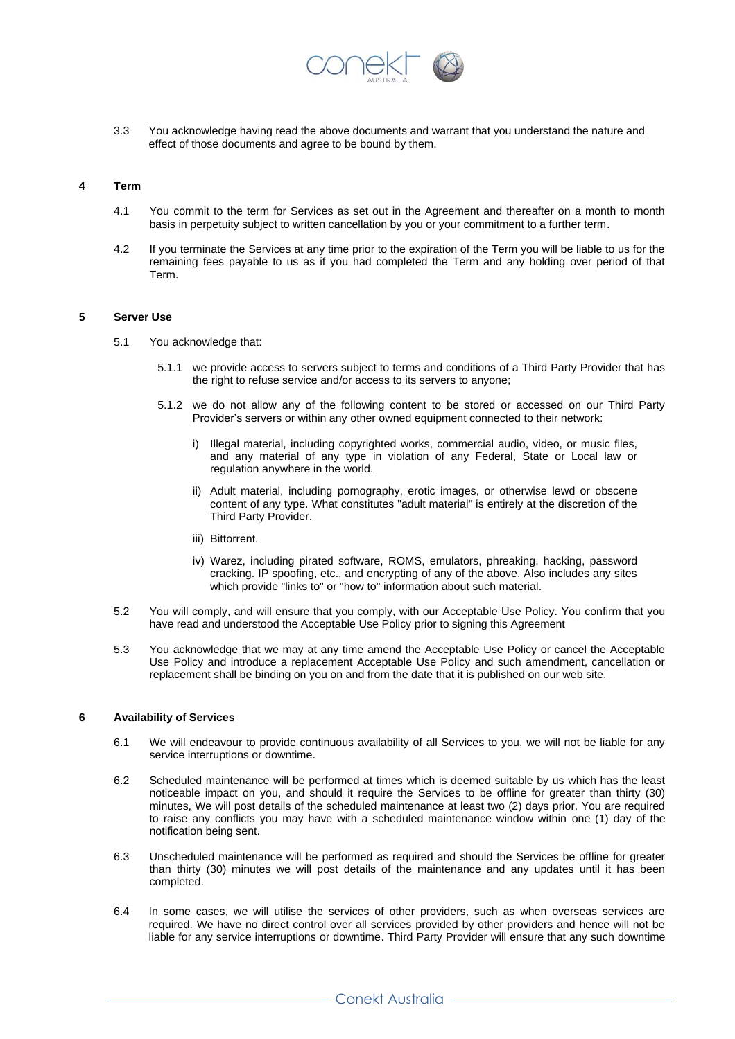

3.3 You acknowledge having read the above documents and warrant that you understand the nature and effect of those documents and agree to be bound by them.

### **4 Term**

- 4.1 You commit to the term for Services as set out in the Agreement and thereafter on a month to month basis in perpetuity subject to written cancellation by you or your commitment to a further term.
- 4.2 If you terminate the Services at any time prior to the expiration of the Term you will be liable to us for the remaining fees payable to us as if you had completed the Term and any holding over period of that Term.

### **5 Server Use**

- 5.1 You acknowledge that:
	- 5.1.1 we provide access to servers subject to terms and conditions of a Third Party Provider that has the right to refuse service and/or access to its servers to anyone;
	- 5.1.2 we do not allow any of the following content to be stored or accessed on our Third Party Provider's servers or within any other owned equipment connected to their network:
		- i) Illegal material, including copyrighted works, commercial audio, video, or music files, and any material of any type in violation of any Federal, State or Local law or regulation anywhere in the world.
		- ii) Adult material, including pornography, erotic images, or otherwise lewd or obscene content of any type. What constitutes "adult material" is entirely at the discretion of the Third Party Provider.
		- iii) Bittorrent.
		- iv) Warez, including pirated software, ROMS, emulators, phreaking, hacking, password cracking. IP spoofing, etc., and encrypting of any of the above. Also includes any sites which provide "links to" or "how to" information about such material.
- 5.2 You will comply, and will ensure that you comply, with our Acceptable Use Policy. You confirm that you have read and understood the Acceptable Use Policy prior to signing this Agreement
- 5.3 You acknowledge that we may at any time amend the Acceptable Use Policy or cancel the Acceptable Use Policy and introduce a replacement Acceptable Use Policy and such amendment, cancellation or replacement shall be binding on you on and from the date that it is published on our web site.

## **6 Availability of Services**

- 6.1 We will endeavour to provide continuous availability of all Services to you, we will not be liable for any service interruptions or downtime.
- 6.2 Scheduled maintenance will be performed at times which is deemed suitable by us which has the least noticeable impact on you, and should it require the Services to be offline for greater than thirty (30) minutes, We will post details of the scheduled maintenance at least two (2) days prior. You are required to raise any conflicts you may have with a scheduled maintenance window within one (1) day of the notification being sent.
- 6.3 Unscheduled maintenance will be performed as required and should the Services be offline for greater than thirty (30) minutes we will post details of the maintenance and any updates until it has been completed.
- 6.4 In some cases, we will utilise the services of other providers, such as when overseas services are required. We have no direct control over all services provided by other providers and hence will not be liable for any service interruptions or downtime. Third Party Provider will ensure that any such downtime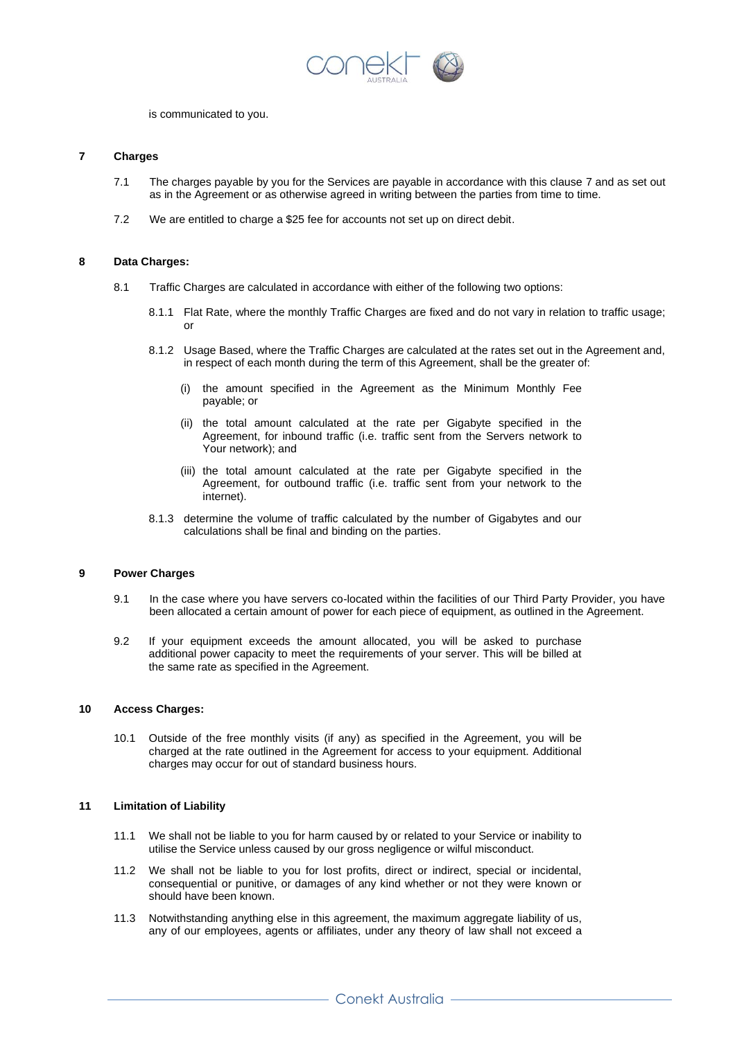

is communicated to you.

## **7 Charges**

- 7.1 The charges payable by you for the Services are payable in accordance with this clause 7 and as set out as in the Agreement or as otherwise agreed in writing between the parties from time to time.
- 7.2 We are entitled to charge a \$25 fee for accounts not set up on direct debit.

### **8 Data Charges:**

- 8.1 Traffic Charges are calculated in accordance with either of the following two options:
	- 8.1.1 Flat Rate, where the monthly Traffic Charges are fixed and do not vary in relation to traffic usage; or
	- 8.1.2 Usage Based, where the Traffic Charges are calculated at the rates set out in the Agreement and, in respect of each month during the term of this Agreement, shall be the greater of:
		- (i) the amount specified in the Agreement as the Minimum Monthly Fee payable; or
		- (ii) the total amount calculated at the rate per Gigabyte specified in the Agreement, for inbound traffic (i.e. traffic sent from the Servers network to Your network); and
		- (iii) the total amount calculated at the rate per Gigabyte specified in the Agreement, for outbound traffic (i.e. traffic sent from your network to the internet).
	- 8.1.3 determine the volume of traffic calculated by the number of Gigabytes and our calculations shall be final and binding on the parties.

## **9 Power Charges**

- 9.1 In the case where you have servers co-located within the facilities of our Third Party Provider, you have been allocated a certain amount of power for each piece of equipment, as outlined in the Agreement.
- 9.2 If your equipment exceeds the amount allocated, you will be asked to purchase additional power capacity to meet the requirements of your server. This will be billed at the same rate as specified in the Agreement.

## **10 Access Charges:**

10.1 Outside of the free monthly visits (if any) as specified in the Agreement, you will be charged at the rate outlined in the Agreement for access to your equipment. Additional charges may occur for out of standard business hours.

## **11 Limitation of Liability**

- 11.1 We shall not be liable to you for harm caused by or related to your Service or inability to utilise the Service unless caused by our gross negligence or wilful misconduct.
- 11.2 We shall not be liable to you for lost profits, direct or indirect, special or incidental, consequential or punitive, or damages of any kind whether or not they were known or should have been known.
- 11.3 Notwithstanding anything else in this agreement, the maximum aggregate liability of us, any of our employees, agents or affiliates, under any theory of law shall not exceed a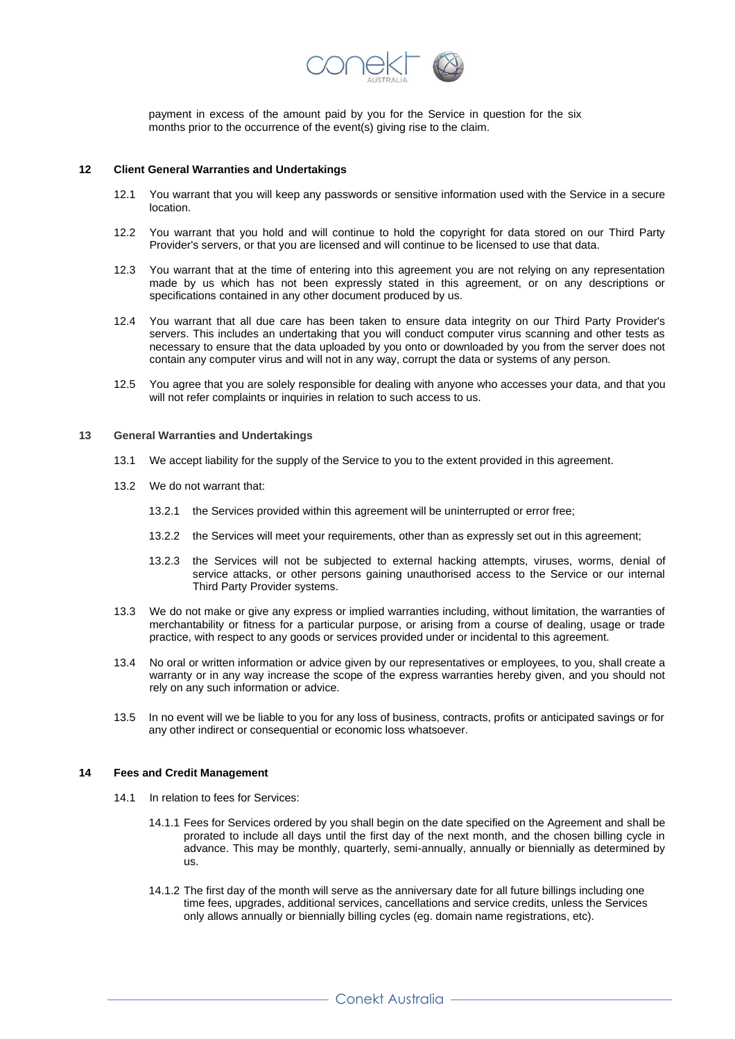

payment in excess of the amount paid by you for the Service in question for the six months prior to the occurrence of the event(s) giving rise to the claim.

#### **12 Client General Warranties and Undertakings**

- 12.1 You warrant that you will keep any passwords or sensitive information used with the Service in a secure location.
- 12.2 You warrant that you hold and will continue to hold the copyright for data stored on our Third Party Provider's servers, or that you are licensed and will continue to be licensed to use that data.
- 12.3 You warrant that at the time of entering into this agreement you are not relying on any representation made by us which has not been expressly stated in this agreement, or on any descriptions or specifications contained in any other document produced by us.
- 12.4 You warrant that all due care has been taken to ensure data integrity on our Third Party Provider's servers. This includes an undertaking that you will conduct computer virus scanning and other tests as necessary to ensure that the data uploaded by you onto or downloaded by you from the server does not contain any computer virus and will not in any way, corrupt the data or systems of any person.
- 12.5 You agree that you are solely responsible for dealing with anyone who accesses your data, and that you will not refer complaints or inquiries in relation to such access to us.

#### **13 General Warranties and Undertakings**

- 13.1 We accept liability for the supply of the Service to you to the extent provided in this agreement.
- 13.2 We do not warrant that:
	- 13.2.1 the Services provided within this agreement will be uninterrupted or error free;
	- 13.2.2 the Services will meet your requirements, other than as expressly set out in this agreement;
	- 13.2.3 the Services will not be subjected to external hacking attempts, viruses, worms, denial of service attacks, or other persons gaining unauthorised access to the Service or our internal Third Party Provider systems.
- 13.3 We do not make or give any express or implied warranties including, without limitation, the warranties of merchantability or fitness for a particular purpose, or arising from a course of dealing, usage or trade practice, with respect to any goods or services provided under or incidental to this agreement.
- 13.4 No oral or written information or advice given by our representatives or employees, to you, shall create a warranty or in any way increase the scope of the express warranties hereby given, and you should not rely on any such information or advice.
- 13.5 In no event will we be liable to you for any loss of business, contracts, profits or anticipated savings or for any other indirect or consequential or economic loss whatsoever.

## **14 Fees and Credit Management**

- 14.1 In relation to fees for Services:
	- 14.1.1 Fees for Services ordered by you shall begin on the date specified on the Agreement and shall be prorated to include all days until the first day of the next month, and the chosen billing cycle in advance. This may be monthly, quarterly, semi-annually, annually or biennially as determined by us.
	- 14.1.2 The first day of the month will serve as the anniversary date for all future billings including one time fees, upgrades, additional services, cancellations and service credits, unless the Services only allows annually or biennially billing cycles (eg. domain name registrations, etc).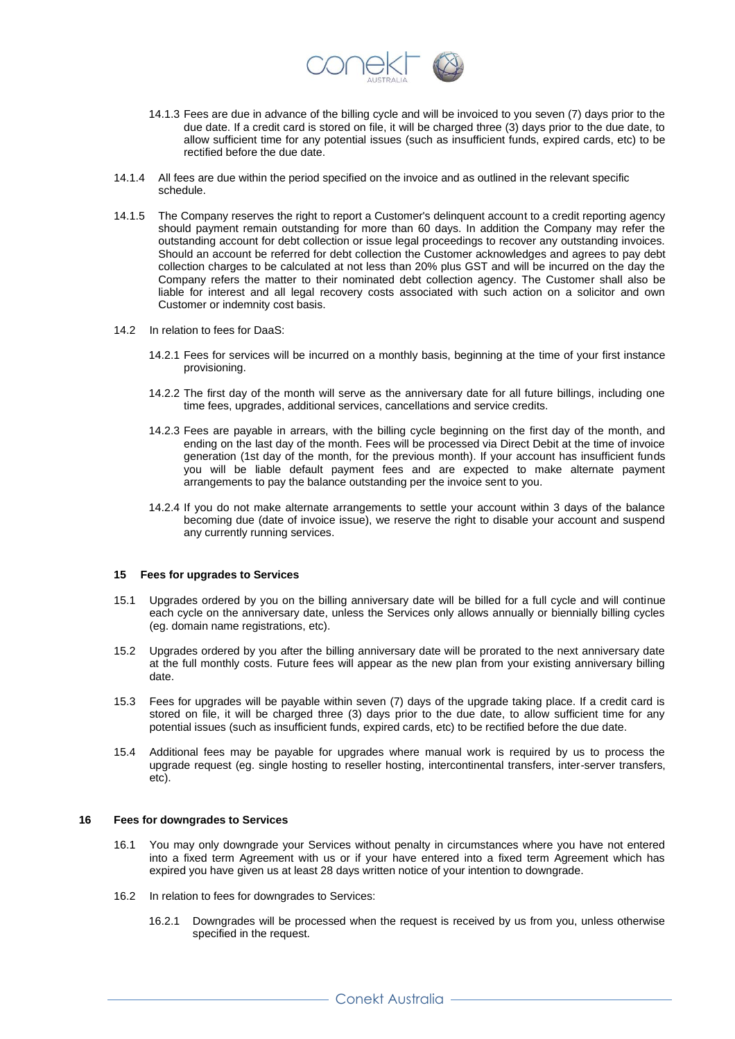

- 14.1.3 Fees are due in advance of the billing cycle and will be invoiced to you seven (7) days prior to the due date. If a credit card is stored on file, it will be charged three (3) days prior to the due date, to allow sufficient time for any potential issues (such as insufficient funds, expired cards, etc) to be rectified before the due date.
- 14.1.4 All fees are due within the period specified on the invoice and as outlined in the relevant specific schedule.
- 14.1.5 The Company reserves the right to report a Customer's delinquent account to a credit reporting agency should payment remain outstanding for more than 60 days. In addition the Company may refer the outstanding account for debt collection or issue legal proceedings to recover any outstanding invoices. Should an account be referred for debt collection the Customer acknowledges and agrees to pay debt collection charges to be calculated at not less than 20% plus GST and will be incurred on the day the Company refers the matter to their nominated debt collection agency. The Customer shall also be liable for interest and all legal recovery costs associated with such action on a solicitor and own Customer or indemnity cost basis.
- 14.2 In relation to fees for DaaS:
	- 14.2.1 Fees for services will be incurred on a monthly basis, beginning at the time of your first instance provisioning.
	- 14.2.2 The first day of the month will serve as the anniversary date for all future billings, including one time fees, upgrades, additional services, cancellations and service credits.
	- 14.2.3 Fees are payable in arrears, with the billing cycle beginning on the first day of the month, and ending on the last day of the month. Fees will be processed via Direct Debit at the time of invoice generation (1st day of the month, for the previous month). If your account has insufficient funds you will be liable default payment fees and are expected to make alternate payment arrangements to pay the balance outstanding per the invoice sent to you.
	- 14.2.4 If you do not make alternate arrangements to settle your account within 3 days of the balance becoming due (date of invoice issue), we reserve the right to disable your account and suspend any currently running services.

## **15 Fees for upgrades to Services**

- 15.1 Upgrades ordered by you on the billing anniversary date will be billed for a full cycle and will continue each cycle on the anniversary date, unless the Services only allows annually or biennially billing cycles (eg. domain name registrations, etc).
- 15.2 Upgrades ordered by you after the billing anniversary date will be prorated to the next anniversary date at the full monthly costs. Future fees will appear as the new plan from your existing anniversary billing date.
- 15.3 Fees for upgrades will be payable within seven (7) days of the upgrade taking place. If a credit card is stored on file, it will be charged three (3) days prior to the due date, to allow sufficient time for any potential issues (such as insufficient funds, expired cards, etc) to be rectified before the due date.
- 15.4 Additional fees may be payable for upgrades where manual work is required by us to process the upgrade request (eg. single hosting to reseller hosting, intercontinental transfers, inter-server transfers, etc).

#### **16 Fees for downgrades to Services**

- 16.1 You may only downgrade your Services without penalty in circumstances where you have not entered into a fixed term Agreement with us or if your have entered into a fixed term Agreement which has expired you have given us at least 28 days written notice of your intention to downgrade.
- 16.2 In relation to fees for downgrades to Services:
	- 16.2.1 Downgrades will be processed when the request is received by us from you, unless otherwise specified in the request.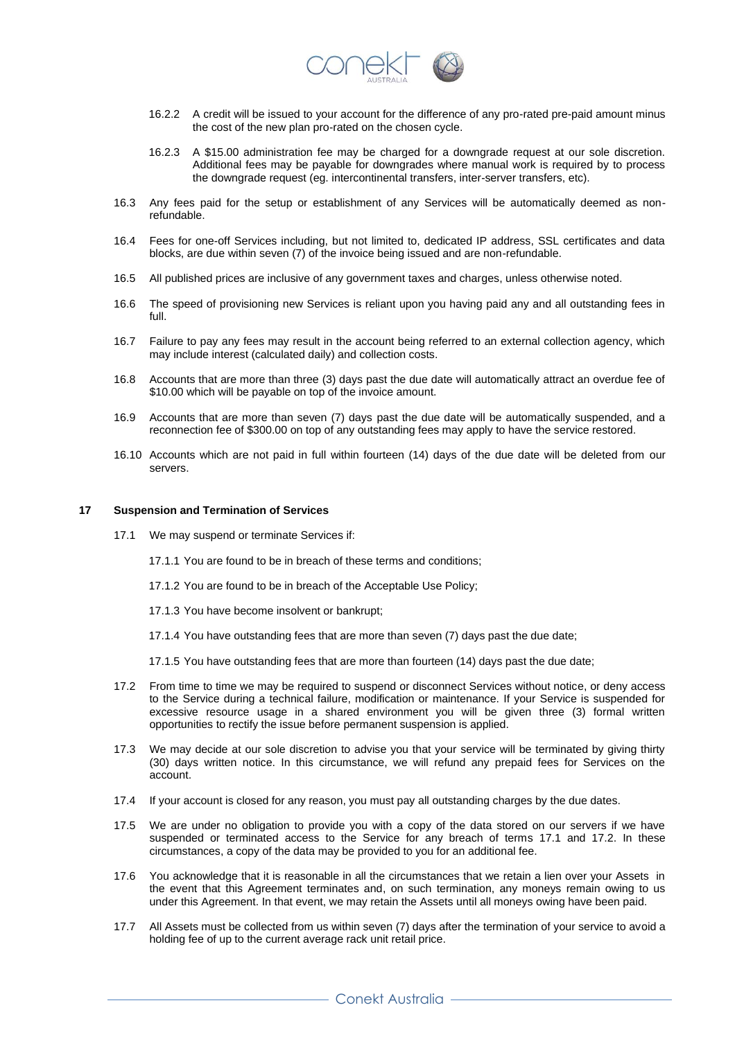

- 16.2.2 A credit will be issued to your account for the difference of any pro-rated pre-paid amount minus the cost of the new plan pro-rated on the chosen cycle.
- 16.2.3 A \$15.00 administration fee may be charged for a downgrade request at our sole discretion. Additional fees may be payable for downgrades where manual work is required by to process the downgrade request (eg. intercontinental transfers, inter-server transfers, etc).
- 16.3 Any fees paid for the setup or establishment of any Services will be automatically deemed as nonrefundable.
- 16.4 Fees for one-off Services including, but not limited to, dedicated IP address, SSL certificates and data blocks, are due within seven (7) of the invoice being issued and are non-refundable.
- 16.5 All published prices are inclusive of any government taxes and charges, unless otherwise noted.
- 16.6 The speed of provisioning new Services is reliant upon you having paid any and all outstanding fees in full.
- 16.7 Failure to pay any fees may result in the account being referred to an external collection agency, which may include interest (calculated daily) and collection costs.
- 16.8 Accounts that are more than three (3) days past the due date will automatically attract an overdue fee of \$10.00 which will be payable on top of the invoice amount.
- 16.9 Accounts that are more than seven (7) days past the due date will be automatically suspended, and a reconnection fee of \$300.00 on top of any outstanding fees may apply to have the service restored.
- 16.10 Accounts which are not paid in full within fourteen (14) days of the due date will be deleted from our servers.

### **17 Suspension and Termination of Services**

- 17.1 We may suspend or terminate Services if:
	- 17.1.1 You are found to be in breach of these terms and conditions;
	- 17.1.2 You are found to be in breach of the Acceptable Use Policy;
	- 17.1.3 You have become insolvent or bankrupt;
	- 17.1.4 You have outstanding fees that are more than seven (7) days past the due date;
	- 17.1.5 You have outstanding fees that are more than fourteen (14) days past the due date;
- 17.2 From time to time we may be required to suspend or disconnect Services without notice, or deny access to the Service during a technical failure, modification or maintenance. If your Service is suspended for excessive resource usage in a shared environment you will be given three (3) formal written opportunities to rectify the issue before permanent suspension is applied.
- 17.3 We may decide at our sole discretion to advise you that your service will be terminated by giving thirty (30) days written notice. In this circumstance, we will refund any prepaid fees for Services on the account.
- 17.4 If your account is closed for any reason, you must pay all outstanding charges by the due dates.
- 17.5 We are under no obligation to provide you with a copy of the data stored on our servers if we have suspended or terminated access to the Service for any breach of terms 17.1 and 17.2. In these circumstances, a copy of the data may be provided to you for an additional fee.
- 17.6 You acknowledge that it is reasonable in all the circumstances that we retain a lien over your Assets in the event that this Agreement terminates and, on such termination, any moneys remain owing to us under this Agreement. In that event, we may retain the Assets until all moneys owing have been paid.
- 17.7 All Assets must be collected from us within seven (7) days after the termination of your service to avoid a holding fee of up to the current average rack unit retail price.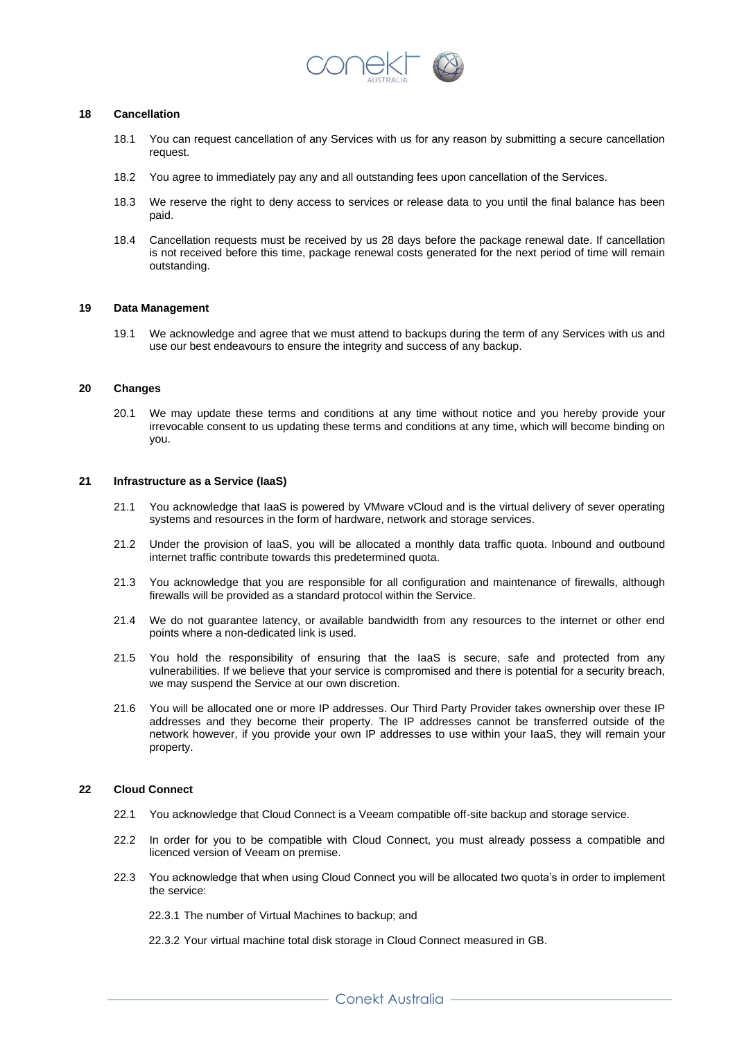

## **18 Cancellation**

- 18.1 You can request cancellation of any Services with us for any reason by submitting a secure cancellation request.
- 18.2 You agree to immediately pay any and all outstanding fees upon cancellation of the Services.
- 18.3 We reserve the right to deny access to services or release data to you until the final balance has been paid.
- 18.4 Cancellation requests must be received by us 28 days before the package renewal date. If cancellation is not received before this time, package renewal costs generated for the next period of time will remain outstanding.

#### **19 Data Management**

19.1 We acknowledge and agree that we must attend to backups during the term of any Services with us and use our best endeavours to ensure the integrity and success of any backup.

## **20 Changes**

20.1 We may update these terms and conditions at any time without notice and you hereby provide your irrevocable consent to us updating these terms and conditions at any time, which will become binding on you.

## **21 Infrastructure as a Service (IaaS)**

- 21.1 You acknowledge that IaaS is powered by VMware vCloud and is the virtual delivery of sever operating systems and resources in the form of hardware, network and storage services.
- 21.2 Under the provision of IaaS, you will be allocated a monthly data traffic quota. Inbound and outbound internet traffic contribute towards this predetermined quota.
- 21.3 You acknowledge that you are responsible for all configuration and maintenance of firewalls, although firewalls will be provided as a standard protocol within the Service.
- 21.4 We do not guarantee latency, or available bandwidth from any resources to the internet or other end points where a non-dedicated link is used.
- 21.5 You hold the responsibility of ensuring that the IaaS is secure, safe and protected from any vulnerabilities. If we believe that your service is compromised and there is potential for a security breach, we may suspend the Service at our own discretion.
- 21.6 You will be allocated one or more IP addresses. Our Third Party Provider takes ownership over these IP addresses and they become their property. The IP addresses cannot be transferred outside of the network however, if you provide your own IP addresses to use within your IaaS, they will remain your property.

## **22 Cloud Connect**

- 22.1 You acknowledge that Cloud Connect is a Veeam compatible off-site backup and storage service.
- 22.2 In order for you to be compatible with Cloud Connect, you must already possess a compatible and licenced version of Veeam on premise.
- 22.3 You acknowledge that when using Cloud Connect you will be allocated two quota's in order to implement the service:

22.3.1 The number of Virtual Machines to backup; and

22.3.2 Your virtual machine total disk storage in Cloud Connect measured in GB.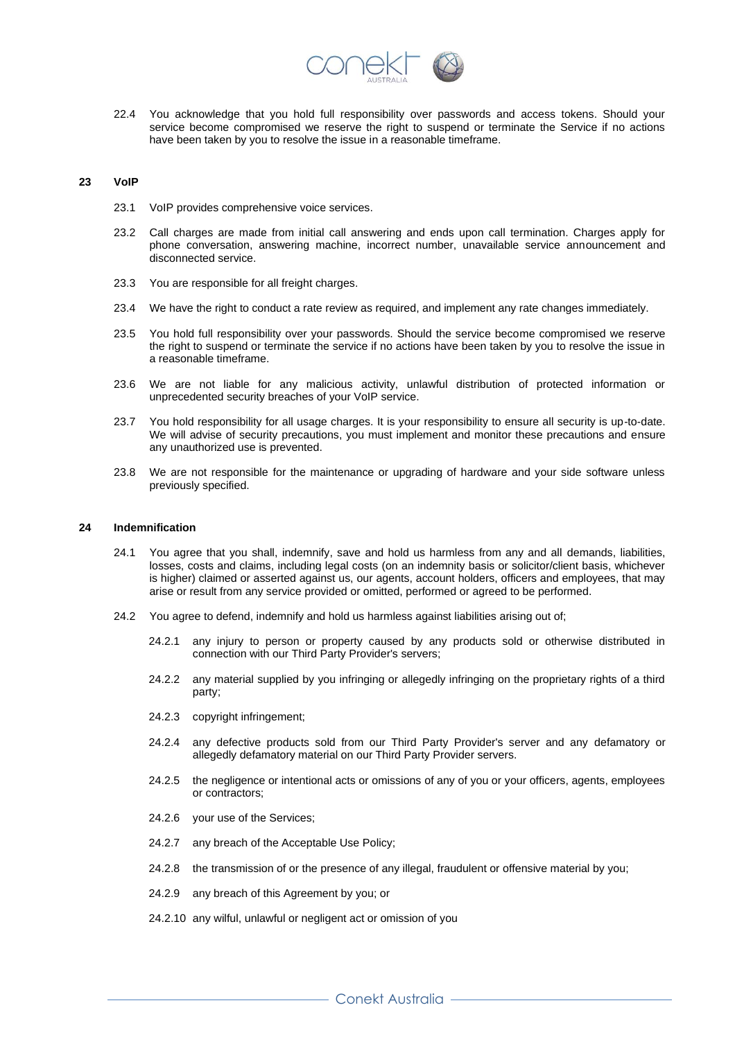

22.4 You acknowledge that you hold full responsibility over passwords and access tokens. Should your service become compromised we reserve the right to suspend or terminate the Service if no actions have been taken by you to resolve the issue in a reasonable timeframe.

#### **23 VoIP**

- 23.1 VoIP provides comprehensive voice services.
- 23.2 Call charges are made from initial call answering and ends upon call termination. Charges apply for phone conversation, answering machine, incorrect number, unavailable service announcement and disconnected service.
- 23.3 You are responsible for all freight charges.
- 23.4 We have the right to conduct a rate review as required, and implement any rate changes immediately.
- 23.5 You hold full responsibility over your passwords. Should the service become compromised we reserve the right to suspend or terminate the service if no actions have been taken by you to resolve the issue in a reasonable timeframe.
- 23.6 We are not liable for any malicious activity, unlawful distribution of protected information or unprecedented security breaches of your VoIP service.
- 23.7 You hold responsibility for all usage charges. It is your responsibility to ensure all security is up-to-date. We will advise of security precautions, you must implement and monitor these precautions and ensure any unauthorized use is prevented.
- 23.8 We are not responsible for the maintenance or upgrading of hardware and your side software unless previously specified.

#### **24 Indemnification**

- 24.1 You agree that you shall, indemnify, save and hold us harmless from any and all demands, liabilities, losses, costs and claims, including legal costs (on an indemnity basis or solicitor/client basis, whichever is higher) claimed or asserted against us, our agents, account holders, officers and employees, that may arise or result from any service provided or omitted, performed or agreed to be performed.
- 24.2 You agree to defend, indemnify and hold us harmless against liabilities arising out of;
	- 24.2.1 any injury to person or property caused by any products sold or otherwise distributed in connection with our Third Party Provider's servers;
	- 24.2.2 any material supplied by you infringing or allegedly infringing on the proprietary rights of a third party;
	- 24.2.3 copyright infringement;
	- 24.2.4 any defective products sold from our Third Party Provider's server and any defamatory or allegedly defamatory material on our Third Party Provider servers.
	- 24.2.5 the negligence or intentional acts or omissions of any of you or your officers, agents, employees or contractors;
	- 24.2.6 your use of the Services;
	- 24.2.7 any breach of the Acceptable Use Policy;
	- 24.2.8 the transmission of or the presence of any illegal, fraudulent or offensive material by you;
	- 24.2.9 any breach of this Agreement by you; or
	- 24.2.10 any wilful, unlawful or negligent act or omission of you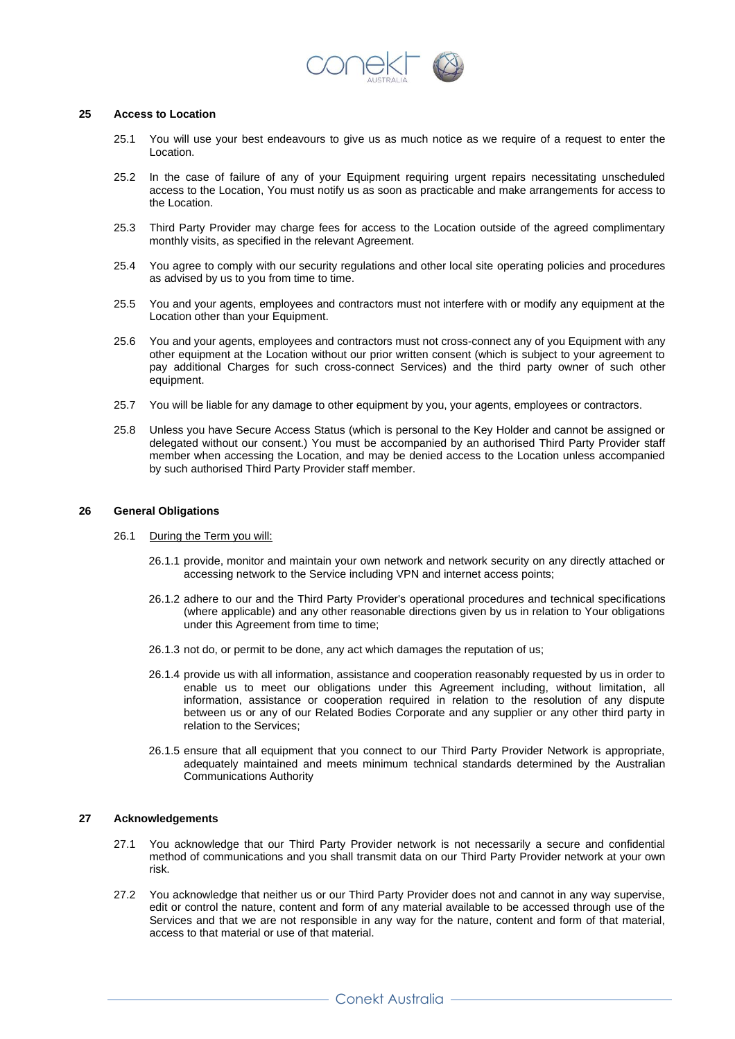

## **25 Access to Location**

- 25.1 You will use your best endeavours to give us as much notice as we require of a request to enter the Location.
- 25.2 In the case of failure of any of your Equipment requiring urgent repairs necessitating unscheduled access to the Location, You must notify us as soon as practicable and make arrangements for access to the Location.
- 25.3 Third Party Provider may charge fees for access to the Location outside of the agreed complimentary monthly visits, as specified in the relevant Agreement.
- 25.4 You agree to comply with our security regulations and other local site operating policies and procedures as advised by us to you from time to time.
- 25.5 You and your agents, employees and contractors must not interfere with or modify any equipment at the Location other than your Equipment.
- 25.6 You and your agents, employees and contractors must not cross-connect any of you Equipment with any other equipment at the Location without our prior written consent (which is subject to your agreement to pay additional Charges for such cross-connect Services) and the third party owner of such other equipment.
- 25.7 You will be liable for any damage to other equipment by you, your agents, employees or contractors.
- 25.8 Unless you have Secure Access Status (which is personal to the Key Holder and cannot be assigned or delegated without our consent.) You must be accompanied by an authorised Third Party Provider staff member when accessing the Location, and may be denied access to the Location unless accompanied by such authorised Third Party Provider staff member.

## **26 General Obligations**

- 26.1 During the Term you will:
	- 26.1.1 provide, monitor and maintain your own network and network security on any directly attached or accessing network to the Service including VPN and internet access points;
	- 26.1.2 adhere to our and the Third Party Provider's operational procedures and technical specifications (where applicable) and any other reasonable directions given by us in relation to Your obligations under this Agreement from time to time;
	- 26.1.3 not do, or permit to be done, any act which damages the reputation of us;
	- 26.1.4 provide us with all information, assistance and cooperation reasonably requested by us in order to enable us to meet our obligations under this Agreement including, without limitation, all information, assistance or cooperation required in relation to the resolution of any dispute between us or any of our Related Bodies Corporate and any supplier or any other third party in relation to the Services;
	- 26.1.5 ensure that all equipment that you connect to our Third Party Provider Network is appropriate, adequately maintained and meets minimum technical standards determined by the Australian Communications Authority

## **27 Acknowledgements**

- 27.1 You acknowledge that our Third Party Provider network is not necessarily a secure and confidential method of communications and you shall transmit data on our Third Party Provider network at your own risk.
- 27.2 You acknowledge that neither us or our Third Party Provider does not and cannot in any way supervise, edit or control the nature, content and form of any material available to be accessed through use of the Services and that we are not responsible in any way for the nature, content and form of that material, access to that material or use of that material.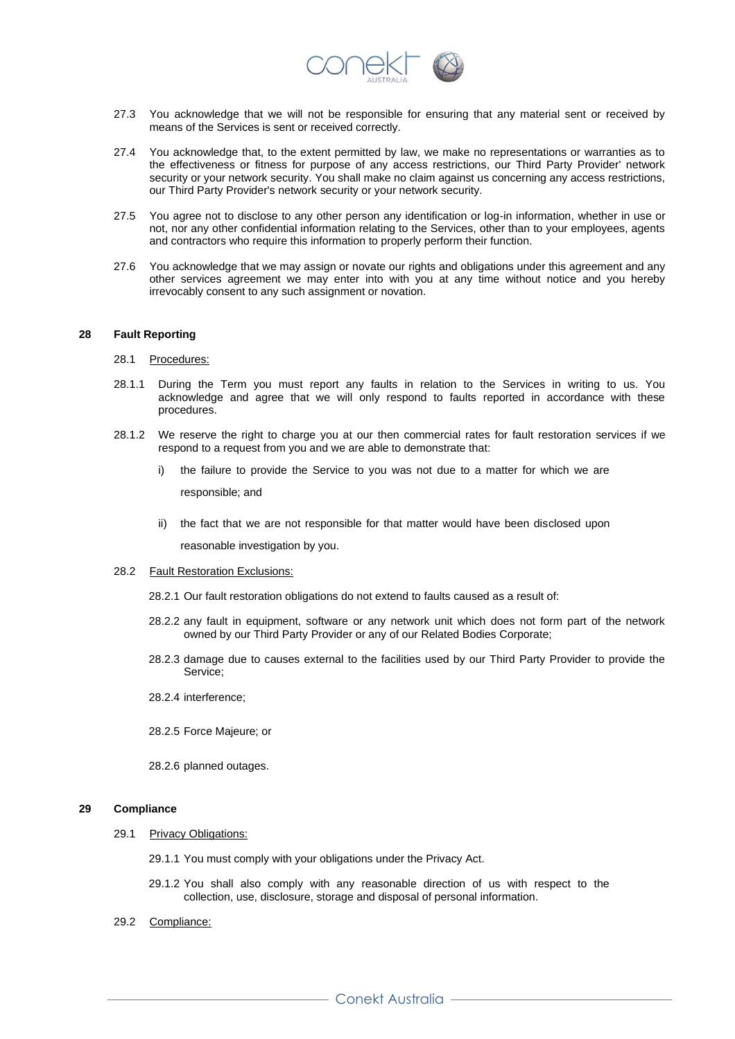

- 27.3 You acknowledge that we will not be responsible for ensuring that any material sent or received by means of the Services is sent or received correctly.
- 27.4 You acknowledge that, to the extent permitted by law, we make no representations or warranties as to the effectiveness or fitness for purpose of any access restrictions, our Third Party Provider' network security or your network security. You shall make no claim against us concerning any access restrictions, our Third Party Provider's network security or your network security.
- 27.5 You agree not to disclose to any other person any identification or log-in information, whether in use or not, nor any other confidential information relating to the Services, other than to your employees, agents and contractors who require this information to properly perform their function.
- 27.6 You acknowledge that we may assign or novate our rights and obligations under this agreement and any other services agreement we may enter into with you at any time without notice and you hereby irrevocably consent to any such assignment or novation.

## **28 Fault Reporting**

#### 28.1 Procedures:

- 28.1.1 During the Term you must report any faults in relation to the Services in writing to us. You acknowledge and agree that we will only respond to faults reported in accordance with these procedures.
- 28.1.2 We reserve the right to charge you at our then commercial rates for fault restoration services if we respond to a request from you and we are able to demonstrate that:
	- i) the failure to provide the Service to you was not due to a matter for which we are

responsible; and

ii) the fact that we are not responsible for that matter would have been disclosed upon

reasonable investigation by you.

28.2 Fault Restoration Exclusions:

28.2.1 Our fault restoration obligations do not extend to faults caused as a result of:

- 28.2.2 any fault in equipment, software or any network unit which does not form part of the network owned by our Third Party Provider or any of our Related Bodies Corporate;
- 28.2.3 damage due to causes external to the facilities used by our Third Party Provider to provide the Service;
- 28.2.4 interference;
- 28.2.5 Force Majeure; or
- 28.2.6 planned outages.

## **29 Compliance**

#### 29.1 Privacy Obligations:

- 29.1.1 You must comply with your obligations under the Privacy Act.
- 29.1.2 You shall also comply with any reasonable direction of us with respect to the collection, use, disclosure, storage and disposal of personal information.
- 29.2 Compliance: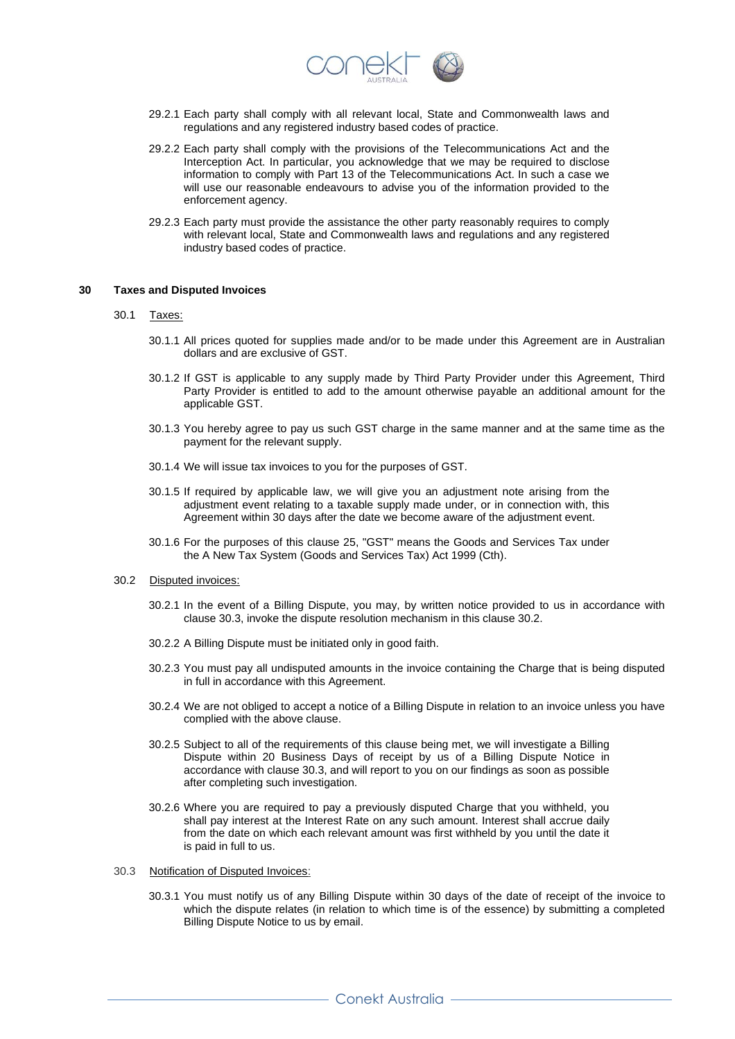

- 29.2.1 Each party shall comply with all relevant local, State and Commonwealth laws and regulations and any registered industry based codes of practice.
- 29.2.2 Each party shall comply with the provisions of the Telecommunications Act and the Interception Act. In particular, you acknowledge that we may be required to disclose information to comply with Part 13 of the Telecommunications Act. In such a case we will use our reasonable endeavours to advise you of the information provided to the enforcement agency.
- 29.2.3 Each party must provide the assistance the other party reasonably requires to comply with relevant local, State and Commonwealth laws and regulations and any registered industry based codes of practice.

## **30 Taxes and Disputed Invoices**

#### 30.1 Taxes:

- 30.1.1 All prices quoted for supplies made and/or to be made under this Agreement are in Australian dollars and are exclusive of GST.
- 30.1.2 If GST is applicable to any supply made by Third Party Provider under this Agreement, Third Party Provider is entitled to add to the amount otherwise payable an additional amount for the applicable GST.
- 30.1.3 You hereby agree to pay us such GST charge in the same manner and at the same time as the payment for the relevant supply.
- 30.1.4 We will issue tax invoices to you for the purposes of GST.
- 30.1.5 If required by applicable law, we will give you an adjustment note arising from the adjustment event relating to a taxable supply made under, or in connection with, this Agreement within 30 days after the date we become aware of the adjustment event.
- 30.1.6 For the purposes of this clause 25, "GST" means the Goods and Services Tax under the A New Tax System (Goods and Services Tax) Act 1999 (Cth).
- 30.2 Disputed invoices:
	- 30.2.1 In the event of a Billing Dispute, you may, by written notice provided to us in accordance with clause 30.3, invoke the dispute resolution mechanism in this clause 30.2.
	- 30.2.2 A Billing Dispute must be initiated only in good faith.
	- 30.2.3 You must pay all undisputed amounts in the invoice containing the Charge that is being disputed in full in accordance with this Agreement.
	- 30.2.4 We are not obliged to accept a notice of a Billing Dispute in relation to an invoice unless you have complied with the above clause.
	- 30.2.5 Subject to all of the requirements of this clause being met, we will investigate a Billing Dispute within 20 Business Days of receipt by us of a Billing Dispute Notice in accordance with clause 30.3, and will report to you on our findings as soon as possible after completing such investigation.
	- 30.2.6 Where you are required to pay a previously disputed Charge that you withheld, you shall pay interest at the Interest Rate on any such amount. Interest shall accrue daily from the date on which each relevant amount was first withheld by you until the date it is paid in full to us.
- 30.3 Notification of Disputed Invoices:
	- 30.3.1 You must notify us of any Billing Dispute within 30 days of the date of receipt of the invoice to which the dispute relates (in relation to which time is of the essence) by submitting a completed Billing Dispute Notice to us by email.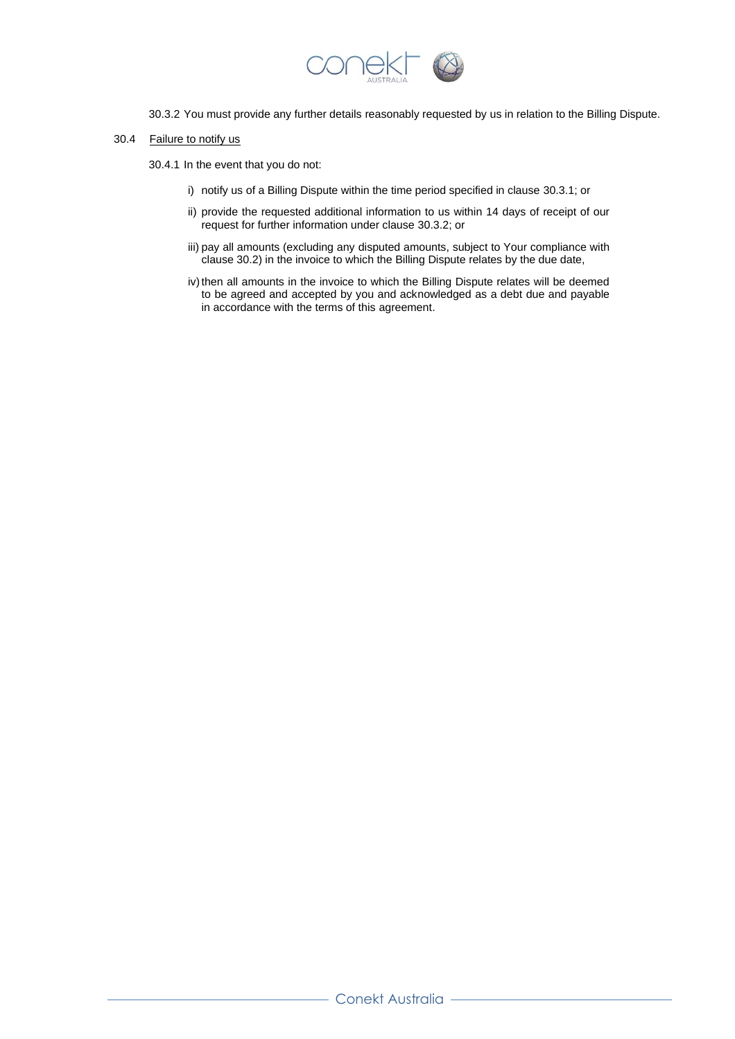

- 30.3.2 You must provide any further details reasonably requested by us in relation to the Billing Dispute.
- 30.4 Failure to notify us

30.4.1 In the event that you do not:

- i) notify us of a Billing Dispute within the time period specified in clause 30.3.1; or
- ii) provide the requested additional information to us within 14 days of receipt of our request for further information under clause 30.3.2; or
- iii) pay all amounts (excluding any disputed amounts, subject to Your compliance with clause 30.2) in the invoice to which the Billing Dispute relates by the due date,
- iv) then all amounts in the invoice to which the Billing Dispute relates will be deemed to be agreed and accepted by you and acknowledged as a debt due and payable in accordance with the terms of this agreement.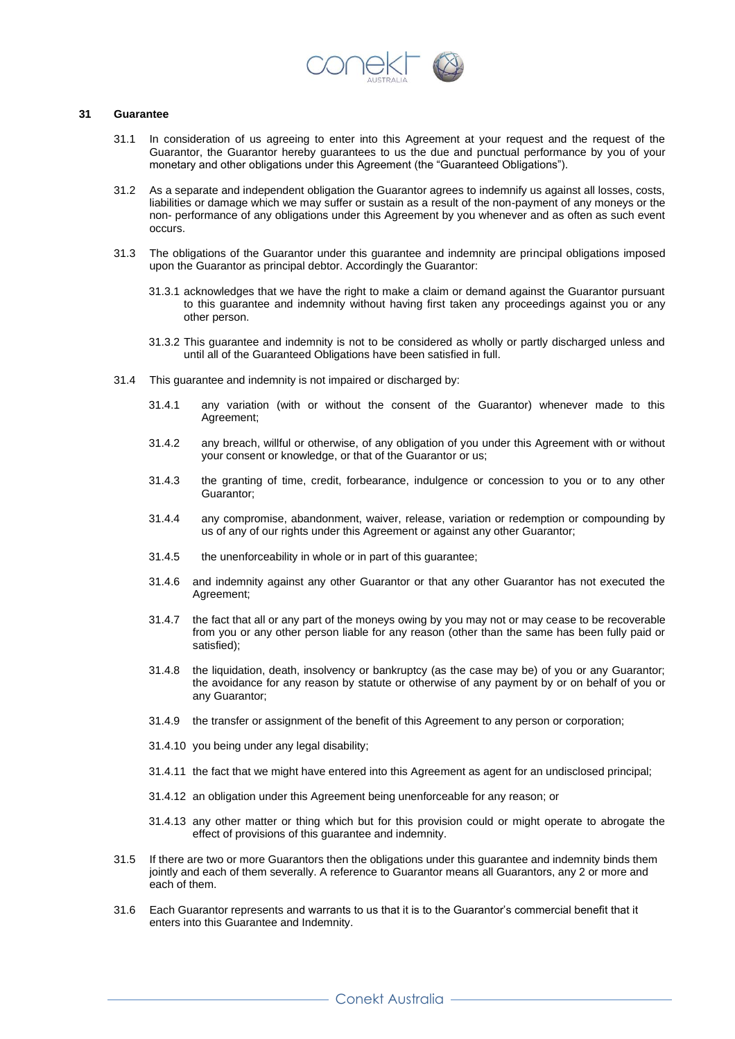

## **31 Guarantee**

- 31.1 In consideration of us agreeing to enter into this Agreement at your request and the request of the Guarantor, the Guarantor hereby guarantees to us the due and punctual performance by you of your monetary and other obligations under this Agreement (the "Guaranteed Obligations").
- 31.2 As a separate and independent obligation the Guarantor agrees to indemnify us against all losses, costs, liabilities or damage which we may suffer or sustain as a result of the non-payment of any moneys or the non- performance of any obligations under this Agreement by you whenever and as often as such event occurs.
- 31.3 The obligations of the Guarantor under this guarantee and indemnity are principal obligations imposed upon the Guarantor as principal debtor. Accordingly the Guarantor:
	- 31.3.1 acknowledges that we have the right to make a claim or demand against the Guarantor pursuant to this guarantee and indemnity without having first taken any proceedings against you or any other person.
	- 31.3.2 This guarantee and indemnity is not to be considered as wholly or partly discharged unless and until all of the Guaranteed Obligations have been satisfied in full.
- 31.4 This guarantee and indemnity is not impaired or discharged by:
	- 31.4.1 any variation (with or without the consent of the Guarantor) whenever made to this Agreement;
	- 31.4.2 any breach, willful or otherwise, of any obligation of you under this Agreement with or without your consent or knowledge, or that of the Guarantor or us;
	- 31.4.3 the granting of time, credit, forbearance, indulgence or concession to you or to any other Guarantor;
	- 31.4.4 any compromise, abandonment, waiver, release, variation or redemption or compounding by us of any of our rights under this Agreement or against any other Guarantor;
	- 31.4.5 the unenforceability in whole or in part of this guarantee;
	- 31.4.6 and indemnity against any other Guarantor or that any other Guarantor has not executed the Agreement;
	- 31.4.7 the fact that all or any part of the moneys owing by you may not or may cease to be recoverable from you or any other person liable for any reason (other than the same has been fully paid or satisfied);
	- 31.4.8 the liquidation, death, insolvency or bankruptcy (as the case may be) of you or any Guarantor; the avoidance for any reason by statute or otherwise of any payment by or on behalf of you or any Guarantor;
	- 31.4.9 the transfer or assignment of the benefit of this Agreement to any person or corporation;
	- 31.4.10 you being under any legal disability;
	- 31.4.11 the fact that we might have entered into this Agreement as agent for an undisclosed principal;
	- 31.4.12 an obligation under this Agreement being unenforceable for any reason; or
	- 31.4.13 any other matter or thing which but for this provision could or might operate to abrogate the effect of provisions of this guarantee and indemnity.
- 31.5 If there are two or more Guarantors then the obligations under this guarantee and indemnity binds them jointly and each of them severally. A reference to Guarantor means all Guarantors, any 2 or more and each of them.
- 31.6 Each Guarantor represents and warrants to us that it is to the Guarantor's commercial benefit that it enters into this Guarantee and Indemnity.